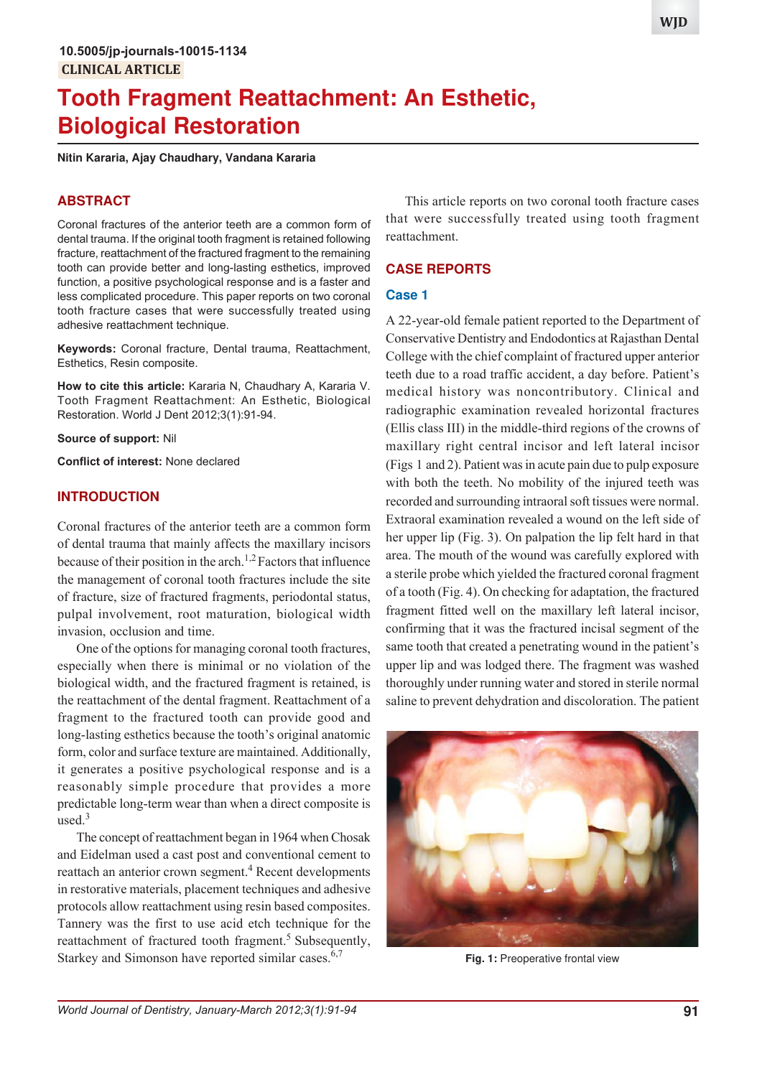# **Tooth Fragment Reattachment: An Esthetic, Biological Restoration**

**Nitin Kararia, Ajay Chaudhary, Vandana Kararia**

# **ABSTRACT**

Coronal fractures of the anterior teeth are a common form of dental trauma. If the original tooth fragment is retained following fracture, reattachment of the fractured fragment to the remaining tooth can provide better and long-lasting esthetics, improved function, a positive psychological response and is a faster and less complicated procedure. This paper reports on two coronal tooth fracture cases that were successfully treated using adhesive reattachment technique.

**Keywords:** Coronal fracture, Dental trauma, Reattachment, Esthetics, Resin composite.

**How to cite this article:** Kararia N, Chaudhary A, Kararia V. Tooth Fragment Reattachment: An Esthetic, Biological Restoration. World J Dent 2012;3(1):91-94.

**Source of support:** Nil

**Conflict of interest:** None declared

# **INTRODUCTION**

Coronal fractures of the anterior teeth are a common form of dental trauma that mainly affects the maxillary incisors because of their position in the arch.<sup>1,2</sup> Factors that influence the management of coronal tooth fractures include the site of fracture, size of fractured fragments, periodontal status, pulpal involvement, root maturation, biological width invasion, occlusion and time.

One of the options for managing coronal tooth fractures, especially when there is minimal or no violation of the biological width, and the fractured fragment is retained, is the reattachment of the dental fragment. Reattachment of a fragment to the fractured tooth can provide good and long-lasting esthetics because the tooth's original anatomic form, color and surface texture are maintained. Additionally, it generates a positive psychological response and is a reasonably simple procedure that provides a more predictable long-term wear than when a direct composite is used. $3$ 

The concept of reattachment began in 1964 when Chosak and Eidelman used a cast post and conventional cement to reattach an anterior crown segment.<sup>4</sup> Recent developments in restorative materials, placement techniques and adhesive protocols allow reattachment using resin based composites. Tannery was the first to use acid etch technique for the reattachment of fractured tooth fragment.<sup>5</sup> Subsequently, Starkey and Simonson have reported similar cases. $6,7$ 

This article reports on two coronal tooth fracture cases that were successfully treated using tooth fragment reattachment.

## **CASE REPORTS**

## **Case 1**

A 22-year-old female patient reported to the Department of Conservative Dentistry and Endodontics at Rajasthan Dental College with the chief complaint of fractured upper anterior teeth due to a road traffic accident, a day before. Patient's medical history was noncontributory. Clinical and radiographic examination revealed horizontal fractures (Ellis class III) in the middle-third regions of the crowns of maxillary right central incisor and left lateral incisor (Figs 1 and 2). Patient was in acute pain due to pulp exposure with both the teeth. No mobility of the injured teeth was recorded and surrounding intraoral soft tissues were normal. Extraoral examination revealed a wound on the left side of her upper lip (Fig. 3). On palpation the lip felt hard in that area. The mouth of the wound was carefully explored with a sterile probe which yielded the fractured coronal fragment of a tooth (Fig. 4). On checking for adaptation, the fractured fragment fitted well on the maxillary left lateral incisor, confirming that it was the fractured incisal segment of the same tooth that created a penetrating wound in the patient's upper lip and was lodged there. The fragment was washed thoroughly under running water and stored in sterile normal saline to prevent dehydration and discoloration. The patient



**Fig. 1:** Preoperative frontal view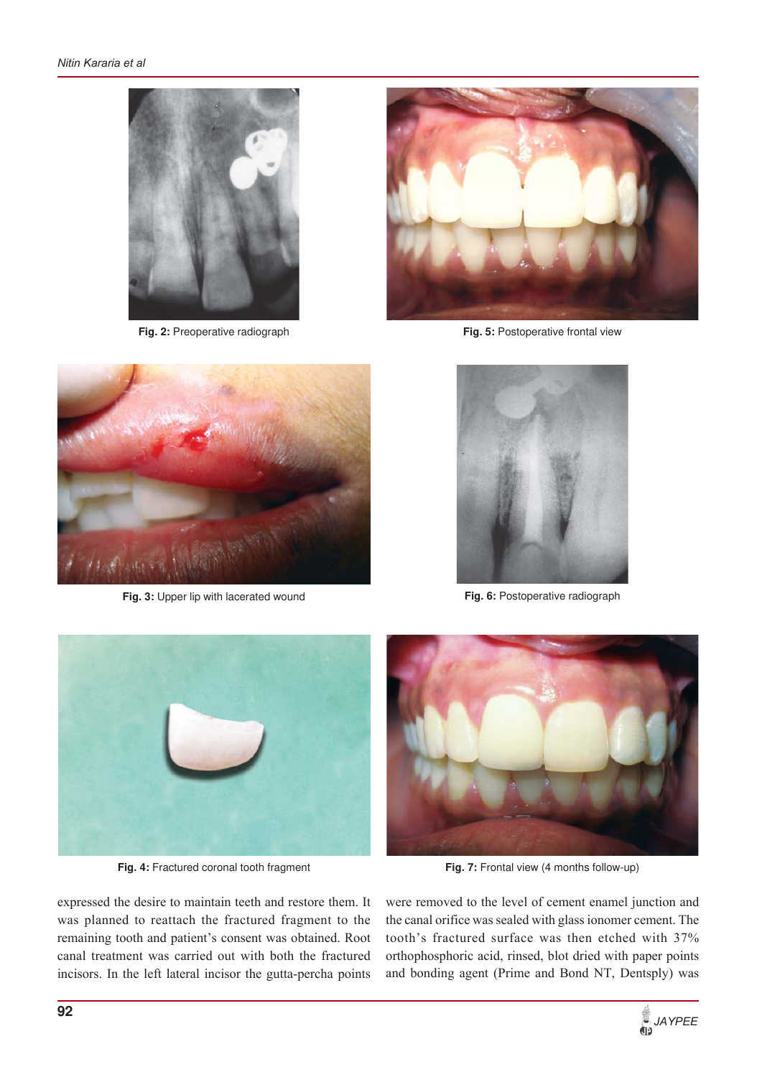

**Fig. 2:** Preoperative radiograph



**Fig. 5:** Postoperative frontal view



**Fig. 3:** Upper lip with lacerated wound



**Fig. 6:** Postoperative radiograph



**Fig. 4:** Fractured coronal tooth fragment

expressed the desire to maintain teeth and restore them. It was planned to reattach the fractured fragment to the remaining tooth and patient's consent was obtained. Root canal treatment was carried out with both the fractured incisors. In the left lateral incisor the gutta-percha points



Fig. 7: Frontal view (4 months follow-up)

were removed to the level of cement enamel junction and the canal orifice was sealed with glass ionomer cement. The tooth's fractured surface was then etched with 37% orthophosphoric acid, rinsed, blot dried with paper points and bonding agent (Prime and Bond NT, Dentsply) was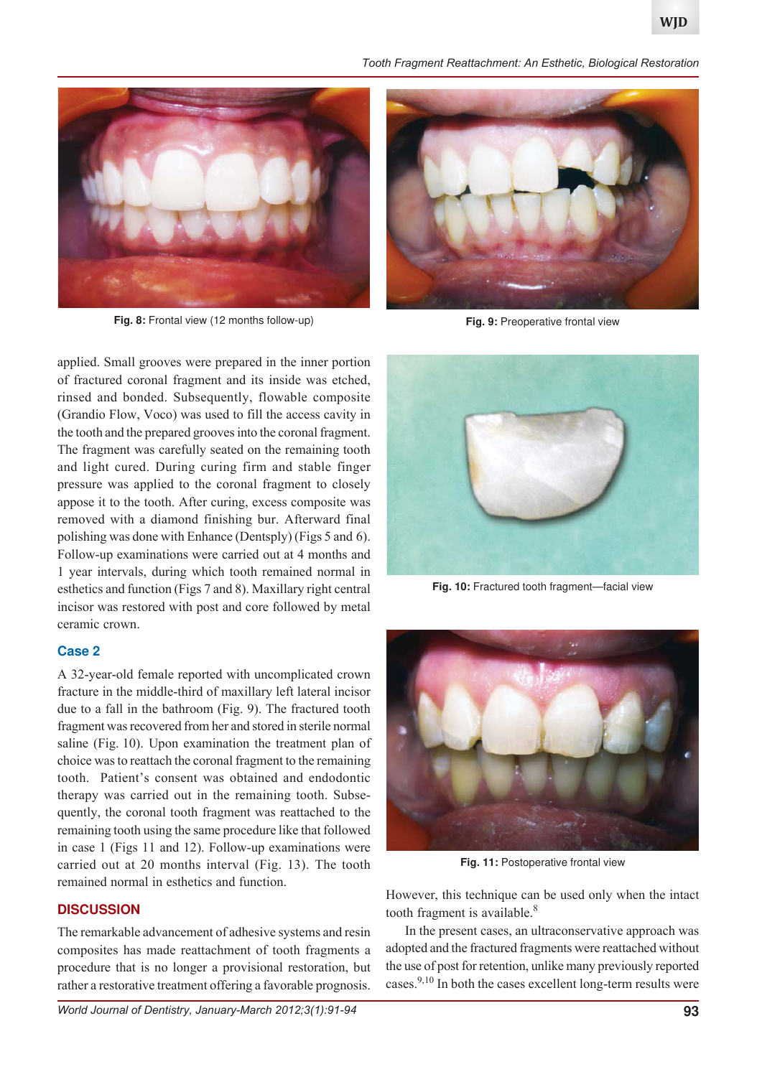



**Fig. 8:** Frontal view (12 months follow-up) **Fig. 9:** Preoperative frontal view

applied. Small grooves were prepared in the inner portion of fractured coronal fragment and its inside was etched, rinsed and bonded. Subsequently, flowable composite (Grandio Flow, Voco) was used to fill the access cavity in the tooth and the prepared grooves into the coronal fragment. The fragment was carefully seated on the remaining tooth and light cured. During curing firm and stable finger pressure was applied to the coronal fragment to closely appose it to the tooth. After curing, excess composite was removed with a diamond finishing bur. Afterward final polishing was done with Enhance (Dentsply) (Figs 5 and 6). Follow-up examinations were carried out at 4 months and 1 year intervals, during which tooth remained normal in esthetics and function (Figs 7 and 8). Maxillary right central incisor was restored with post and core followed by metal ceramic crown.

# **Case 2**

A 32-year-old female reported with uncomplicated crown fracture in the middle-third of maxillary left lateral incisor due to a fall in the bathroom (Fig. 9). The fractured tooth fragment was recovered from her and stored in sterile normal saline (Fig. 10). Upon examination the treatment plan of choice was to reattach the coronal fragment to the remaining tooth. Patient's consent was obtained and endodontic therapy was carried out in the remaining tooth. Subsequently, the coronal tooth fragment was reattached to the remaining tooth using the same procedure like that followed in case 1 (Figs 11 and 12). Follow-up examinations were carried out at 20 months interval (Fig. 13). The tooth remained normal in esthetics and function.

# **DISCUSSION**

The remarkable advancement of adhesive systems and resin composites has made reattachment of tooth fragments a procedure that is no longer a provisional restoration, but rather a restorative treatment offering a favorable prognosis.





**Fig. 10:** Fractured tooth fragment—facial view



**Fig. 11:** Postoperative frontal view

However, this technique can be used only when the intact tooth fragment is available. $8$ 

In the present cases, an ultraconservative approach was adopted and the fractured fragments were reattached without the use of post for retention, unlike many previously reported cases.<sup>9,10</sup> In both the cases excellent long-term results were